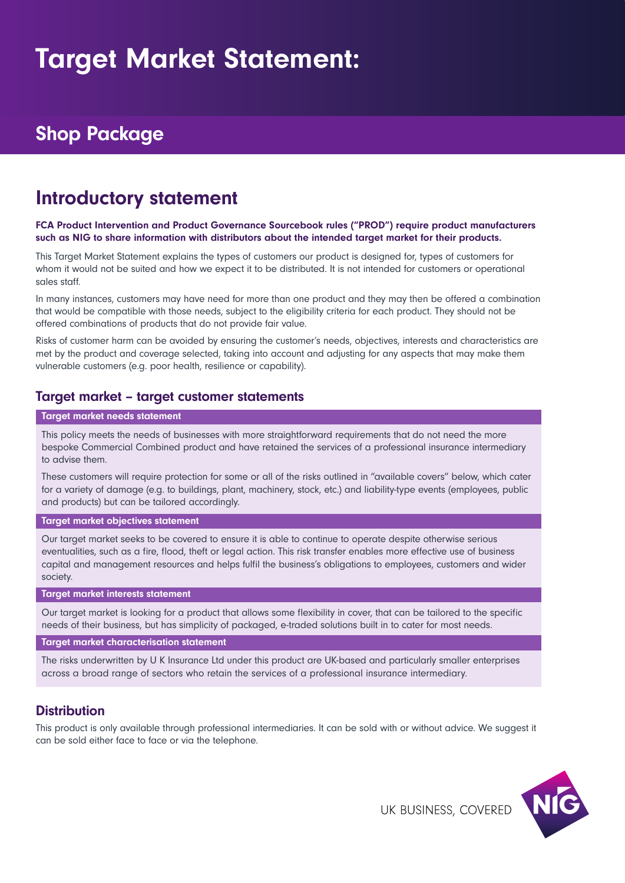# Target Market Statement:

# Shop Package

# Introductory statement

#### FCA Product Intervention and Product Governance Sourcebook rules ("PROD") require product manufacturers such as NIG to share information with distributors about the intended target market for their products.

This Target Market Statement explains the types of customers our product is designed for, types of customers for whom it would not be suited and how we expect it to be distributed. It is not intended for customers or operational sales staff.

In many instances, customers may have need for more than one product and they may then be offered a combination that would be compatible with those needs, subject to the eligibility criteria for each product. They should not be offered combinations of products that do not provide fair value.

Risks of customer harm can be avoided by ensuring the customer's needs, objectives, interests and characteristics are met by the product and coverage selected, taking into account and adjusting for any aspects that may make them vulnerable customers (e.g. poor health, resilience or capability).

### Target market – target customer statements

#### Target market needs statement

This policy meets the needs of businesses with more straightforward requirements that do not need the more bespoke Commercial Combined product and have retained the services of a professional insurance intermediary to advise them.

These customers will require protection for some or all of the risks outlined in "available covers" below, which cater for a variety of damage (e.g. to buildings, plant, machinery, stock, etc.) and liability-type events (employees, public and products) but can be tailored accordingly.

#### Target market objectives statement

Our target market seeks to be covered to ensure it is able to continue to operate despite otherwise serious eventualities, such as a fire, flood, theft or legal action. This risk transfer enables more effective use of business capital and management resources and helps fulfil the business's obligations to employees, customers and wider society.

#### Target market interests statement

Our target market is looking for a product that allows some flexibility in cover, that can be tailored to the specific needs of their business, but has simplicity of packaged, e-traded solutions built in to cater for most needs.

#### Target market characterisation statement

The risks underwritten by U K Insurance Ltd under this product are UK-based and particularly smaller enterprises across a broad range of sectors who retain the services of a professional insurance intermediary.

### **Distribution**

This product is only available through professional intermediaries. It can be sold with or without advice. We suggest it can be sold either face to face or via the telephone.

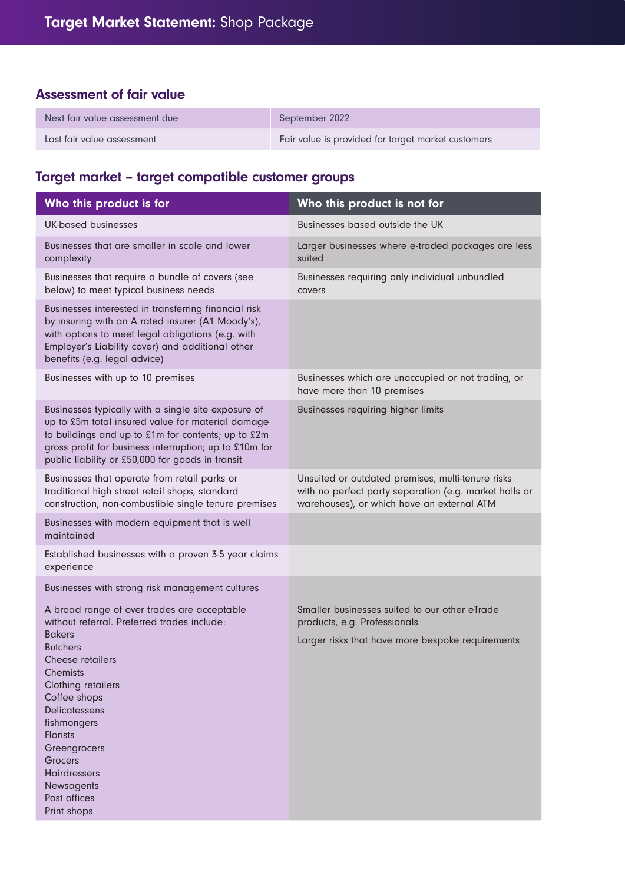## Assessment of fair value

| Next fair value assessment due | September 2022                                     |
|--------------------------------|----------------------------------------------------|
| Last fair value assessment     | Fair value is provided for target market customers |

# Target market – target compatible customer groups

| Who this product is for                                                                                                                                                                                                                                                      | Who this product is not for                                                                                                                               |  |
|------------------------------------------------------------------------------------------------------------------------------------------------------------------------------------------------------------------------------------------------------------------------------|-----------------------------------------------------------------------------------------------------------------------------------------------------------|--|
| UK-based businesses                                                                                                                                                                                                                                                          | Businesses based outside the UK                                                                                                                           |  |
| Businesses that are smaller in scale and lower<br>complexity                                                                                                                                                                                                                 | Larger businesses where e-traded packages are less<br>suited                                                                                              |  |
| Businesses that require a bundle of covers (see<br>below) to meet typical business needs                                                                                                                                                                                     | Businesses requiring only individual unbundled<br>covers                                                                                                  |  |
| Businesses interested in transferring financial risk<br>by insuring with an A rated insurer (A1 Moody's),<br>with options to meet legal obligations (e.g. with<br>Employer's Liability cover) and additional other<br>benefits (e.g. legal advice)                           |                                                                                                                                                           |  |
| Businesses with up to 10 premises                                                                                                                                                                                                                                            | Businesses which are unoccupied or not trading, or<br>have more than 10 premises                                                                          |  |
| Businesses typically with a single site exposure of<br>up to £5m total insured value for material damage<br>to buildings and up to £1m for contents; up to £2m<br>gross profit for business interruption; up to £10m for<br>public liability or £50,000 for goods in transit | Businesses requiring higher limits                                                                                                                        |  |
| Businesses that operate from retail parks or<br>traditional high street retail shops, standard<br>construction, non-combustible single tenure premises                                                                                                                       | Unsuited or outdated premises, multi-tenure risks<br>with no perfect party separation (e.g. market halls or<br>warehouses), or which have an external ATM |  |
| Businesses with modern equipment that is well<br>maintained                                                                                                                                                                                                                  |                                                                                                                                                           |  |
| Established businesses with a proven 3-5 year claims<br>experience                                                                                                                                                                                                           |                                                                                                                                                           |  |
| Businesses with strong risk management cultures                                                                                                                                                                                                                              |                                                                                                                                                           |  |
| A broad range of over trades are acceptable<br>without referral. Preferred trades include:                                                                                                                                                                                   | Smaller businesses suited to our other eTrade<br>products, e.g. Professionals                                                                             |  |
| <b>Bakers</b><br><b>Butchers</b><br>Cheese retailers<br><b>Chemists</b><br>Clothing retailers<br>Coffee shops<br>Delicatessens<br>fishmongers<br><b>Florists</b><br>Greengrocers<br>Grocers<br>Hairdressers<br>Newsagents<br>Post offices<br>Print shops                     | Larger risks that have more bespoke requirements                                                                                                          |  |